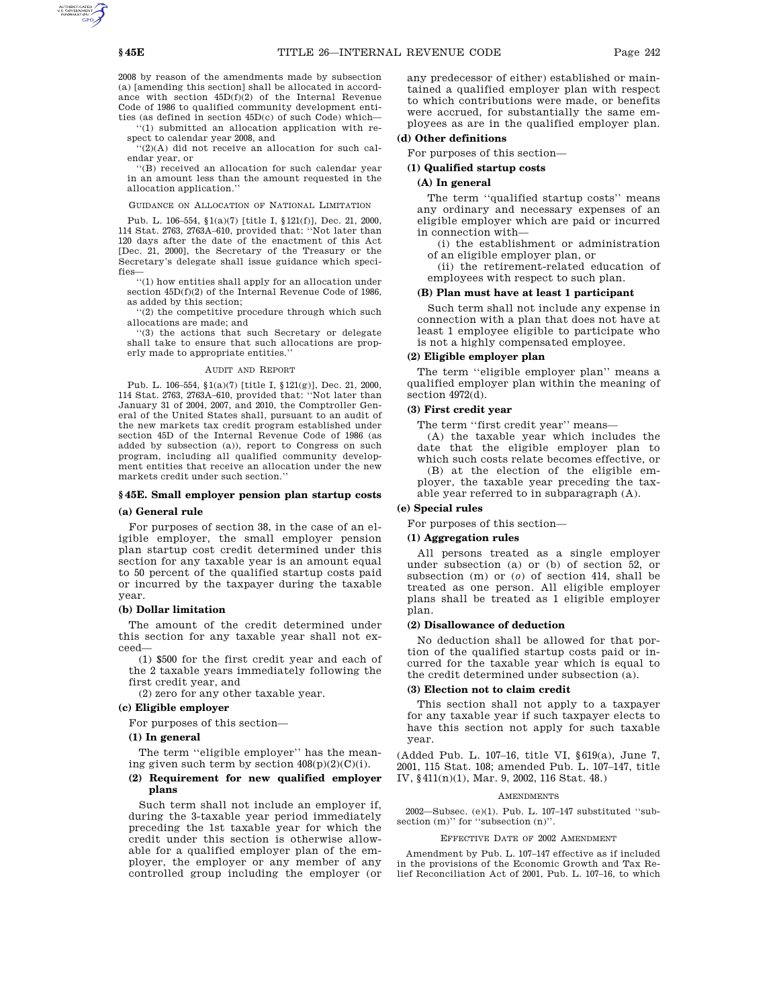2008 by reason of the amendments made by subsection (a) [amending this section] shall be allocated in accordance with section 45D(f)(2) of the Internal Revenue Code of 1986 to qualified community development entities (as defined in section 45D(c) of such Code) which—

'(1) submitted an allocation application with respect to calendar year 2008, and

''(2)(A) did not receive an allocation for such calendar year, or

''(B) received an allocation for such calendar year in an amount less than the amount requested in the allocation application.''

#### GUIDANCE ON ALLOCATION OF NATIONAL LIMITATION

Pub. L. 106–554, §1(a)(7) [title I, §121(f)], Dec. 21, 2000, 114 Stat. 2763, 2763A–610, provided that: ''Not later than 120 days after the date of the enactment of this Act [Dec. 21, 2000], the Secretary of the Treasury or the Secretary's delegate shall issue guidance which specifies

''(1) how entities shall apply for an allocation under section  $45D(f)(2)$  of the Internal Revenue Code of 1986, as added by this section;

''(2) the competitive procedure through which such allocations are made; and

''(3) the actions that such Secretary or delegate shall take to ensure that such allocations are properly made to appropriate entities.''

#### AUDIT AND REPORT

Pub. L. 106–554, §1(a)(7) [title I, §121(g)], Dec. 21, 2000, 114 Stat. 2763, 2763A–610, provided that: ''Not later than January 31 of 2004, 2007, and 2010, the Comptroller General of the United States shall, pursuant to an audit of the new markets tax credit program established under section 45D of the Internal Revenue Code of 1986 (as added by subsection (a)), report to Congress on such program, including all qualified community development entities that receive an allocation under the new markets credit under such section.''

### **§ 45E. Small employer pension plan startup costs**

#### **(a) General rule**

For purposes of section 38, in the case of an eligible employer, the small employer pension plan startup cost credit determined under this section for any taxable year is an amount equal to 50 percent of the qualified startup costs paid or incurred by the taxpayer during the taxable year.

### **(b) Dollar limitation**

The amount of the credit determined under this section for any taxable year shall not exceed—

(1) \$500 for the first credit year and each of the 2 taxable years immediately following the first credit year, and

(2) zero for any other taxable year.

## **(c) Eligible employer**

For purposes of this section—

#### **(1) In general**

The term ''eligible employer'' has the meaning given such term by section  $408(p)(2)(C)(i)$ .

## **(2) Requirement for new qualified employer plans**

Such term shall not include an employer if, during the 3-taxable year period immediately preceding the 1st taxable year for which the credit under this section is otherwise allowable for a qualified employer plan of the employer, the employer or any member of any controlled group including the employer (or any predecessor of either) established or maintained a qualified employer plan with respect to which contributions were made, or benefits were accrued, for substantially the same employees as are in the qualified employer plan.

## **(d) Other definitions**

For purposes of this section—

## **(1) Qualified startup costs**

## **(A) In general**

The term ''qualified startup costs'' means any ordinary and necessary expenses of an eligible employer which are paid or incurred in connection with—

(i) the establishment or administration of an eligible employer plan, or

(ii) the retirement-related education of employees with respect to such plan.

## **(B) Plan must have at least 1 participant**

Such term shall not include any expense in connection with a plan that does not have at least 1 employee eligible to participate who is not a highly compensated employee.

### **(2) Eligible employer plan**

The term ''eligible employer plan'' means a qualified employer plan within the meaning of section 4972(d).

#### **(3) First credit year**

The term ''first credit year'' means—

(A) the taxable year which includes the date that the eligible employer plan to which such costs relate becomes effective, or (B) at the election of the eligible employer, the taxable year preceding the taxable year referred to in subparagraph (A).

#### **(e) Special rules**

For purposes of this section—

## **(1) Aggregation rules**

All persons treated as a single employer under subsection (a) or (b) of section 52, or subsection (m) or (*o*) of section 414, shall be treated as one person. All eligible employer plans shall be treated as 1 eligible employer plan.

#### **(2) Disallowance of deduction**

No deduction shall be allowed for that portion of the qualified startup costs paid or incurred for the taxable year which is equal to the credit determined under subsection (a).

## **(3) Election not to claim credit**

This section shall not apply to a taxpayer for any taxable year if such taxpayer elects to have this section not apply for such taxable year.

(Added Pub. L. 107–16, title VI, §619(a), June 7, 2001, 115 Stat. 108; amended Pub. L. 107–147, title IV, §411(n)(1), Mar. 9, 2002, 116 Stat. 48.)

## **AMENDMENTS**

2002—Subsec. (e)(1). Pub. L. 107–147 substituted ''subsection (m)" for "subsection (n)".

#### EFFECTIVE DATE OF 2002 AMENDMENT

Amendment by Pub. L. 107–147 effective as if included in the provisions of the Economic Growth and Tax Relief Reconciliation Act of 2001, Pub. L. 107–16, to which